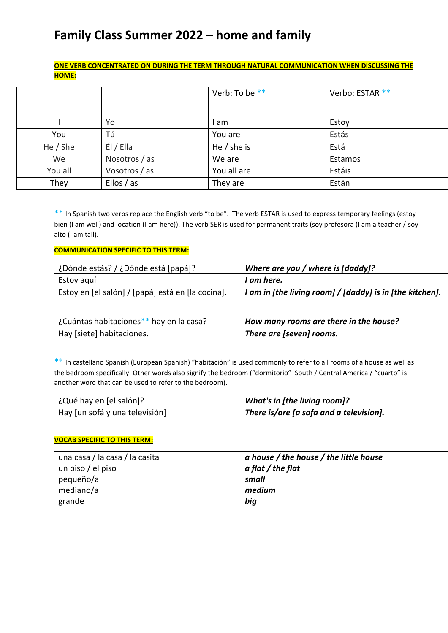# **Family Class Summer 2022 – home and family**

## **ONE VERB CONCENTRATED ON DURING THE TERM THROUGH NATURAL COMMUNICATION WHEN DISCUSSING THE HOME:**

|            |               | Verb: To be ** | Verbo: ESTAR ** |
|------------|---------------|----------------|-----------------|
|            | Yo            | am             | Estoy           |
| You        | Tú            | You are        | Estás           |
| He $/$ She | EI / El la    | He $/$ she is  | Está            |
| We         | Nosotros / as | We are         | Estamos         |
| You all    | Vosotros / as | You all are    | Estáis          |
| They       | Ellos / as    | They are       | Están           |

\*\* In Spanish two verbs replace the English verb "to be". The verb ESTAR is used to express temporary feelings (estoy bien (I am well) and location (I am here)). The verb SER is used for permanent traits (soy profesora (I am a teacher / soy alto (I am tall).

#### **COMMUNICATION SPECIFIC TO THIS TERM:**

| ¿Dónde estás? / ¿Dónde está [papá]?               | Where are you / where is $[daddy]$ ?                                 |
|---------------------------------------------------|----------------------------------------------------------------------|
| Estoy aguí                                        | I am here.                                                           |
| Estoy en [el salón] / [papá] está en [la cocina]. | $^{\prime}$ I am in [the living room] / [daddy] is in [the kitchen]. |

| ¿Cuántas habitaciones** hay en la casa? | How many rooms are there in the house? |
|-----------------------------------------|----------------------------------------|
| Hay [siete] habitaciones.               | There are [seven] rooms.               |

\*\* In castellano Spanish (European Spanish) "habitación" is used commonly to refer to all rooms of a house as well as the bedroom specifically. Other words also signify the bedroom ("dormitorio" South / Central America / "cuarto" is another word that can be used to refer to the bedroom).

| ¿Qué hay en [el salón]?        | What's in [the living room]?                   |
|--------------------------------|------------------------------------------------|
| Hay [un sofá y una televisión] | $\mid$ There is/are [a sofa and a television]. |

## **VOCAB SPECIFIC TO THIS TERM:**

| una casa / la casa / la casita | a house / the house / the little house |
|--------------------------------|----------------------------------------|
| un piso / el piso              | $a$ flat $\prime$ the flat             |
| pequeño/a                      | small                                  |
| mediano/a                      | medium                                 |
| grande                         | big                                    |
|                                |                                        |